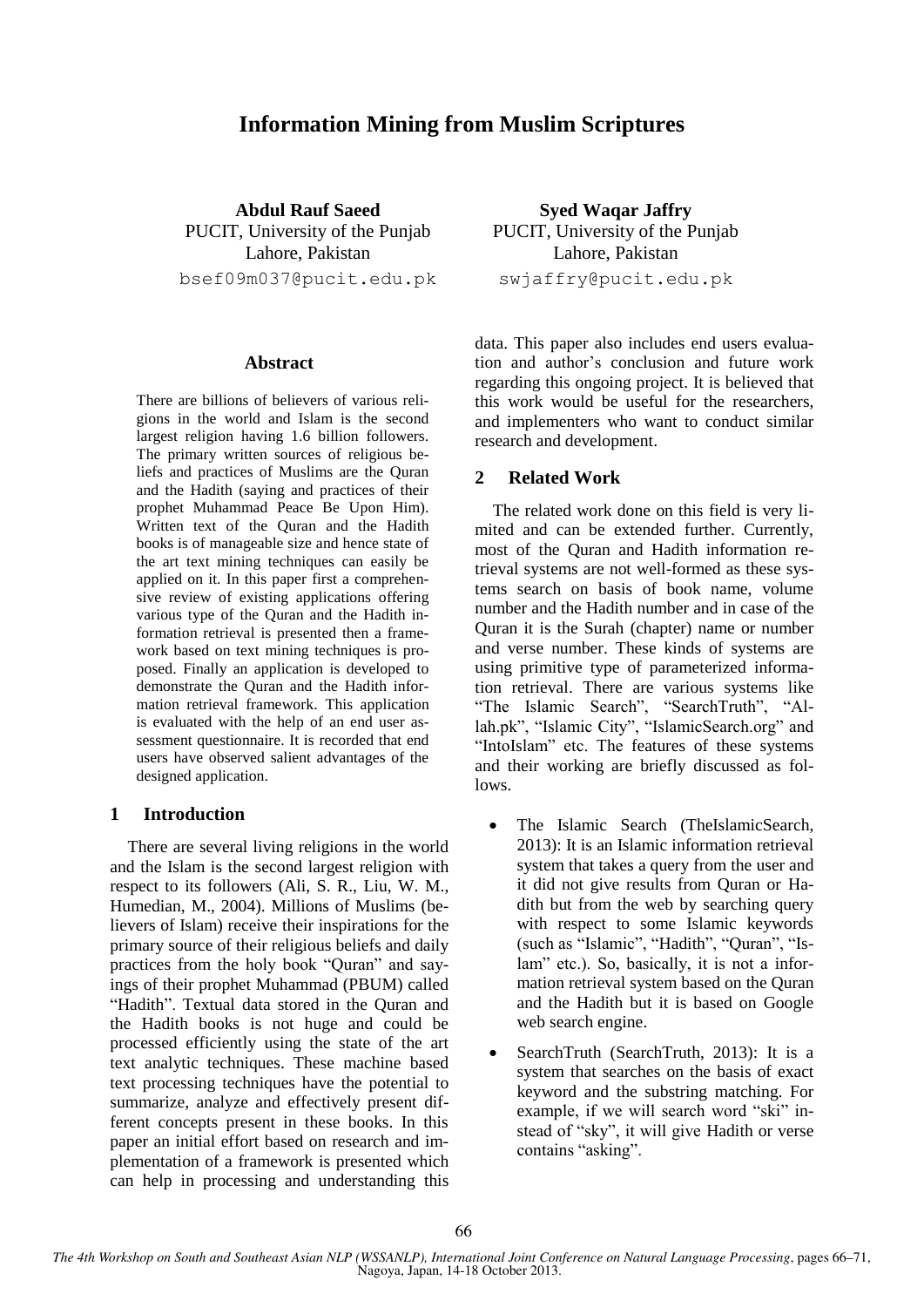# **Information Mining from Muslim Scriptures**

**Abdul Rauf Saeed** PUCIT, University of the Punjab Lahore, Pakistan bsef09m037@pucit.edu.pk

#### **Abstract**

There are billions of believers of various religions in the world and Islam is the second largest religion having 1.6 billion followers. The primary written sources of religious beliefs and practices of Muslims are the Quran and the Hadith (saying and practices of their prophet Muhammad Peace Be Upon Him). Written text of the Quran and the Hadith books is of manageable size and hence state of the art text mining techniques can easily be applied on it. In this paper first a comprehensive review of existing applications offering various type of the Quran and the Hadith information retrieval is presented then a framework based on text mining techniques is proposed. Finally an application is developed to demonstrate the Quran and the Hadith information retrieval framework. This application is evaluated with the help of an end user assessment questionnaire. It is recorded that end users have observed salient advantages of the designed application.

### **1 Introduction**

There are several living religions in the world and the Islam is the second largest religion with respect to its followers (Ali, S. R., Liu, W. M., Humedian, M., 2004). Millions of Muslims (believers of Islam) receive their inspirations for the primary source of their religious beliefs and daily practices from the holy book "Quran" and sayings of their prophet Muhammad (PBUM) called "Hadith". Textual data stored in the Quran and the Hadith books is not huge and could be processed efficiently using the state of the art text analytic techniques. These machine based text processing techniques have the potential to summarize, analyze and effectively present different concepts present in these books. In this paper an initial effort based on research and implementation of a framework is presented which can help in processing and understanding this

**Syed Waqar Jaffry** PUCIT, University of the Punjab Lahore, Pakistan swjaffry@pucit.edu.pk

data. This paper also includes end users evaluation and author"s conclusion and future work regarding this ongoing project. It is believed that this work would be useful for the researchers, and implementers who want to conduct similar research and development.

### **2 Related Work**

The related work done on this field is very limited and can be extended further. Currently, most of the Quran and Hadith information retrieval systems are not well-formed as these systems search on basis of book name, volume number and the Hadith number and in case of the Quran it is the Surah (chapter) name or number and verse number. These kinds of systems are using primitive type of parameterized information retrieval. There are various systems like "The Islamic Search", "SearchTruth", "Allah.pk", "Islamic City", "IslamicSearch.org" and "IntoIslam" etc. The features of these systems and their working are briefly discussed as follows.

- The Islamic Search (TheIslamicSearch, 2013): It is an Islamic information retrieval system that takes a query from the user and it did not give results from Quran or Hadith but from the web by searching query with respect to some Islamic keywords (such as "Islamic", "Hadith", "Quran", "Islam" etc.). So, basically, it is not a information retrieval system based on the Quran and the Hadith but it is based on Google web search engine.
- SearchTruth (SearchTruth, 2013): It is a system that searches on the basis of exact keyword and the substring matching. For example, if we will search word "ski" instead of "sky", it will give Hadith or verse contains "asking".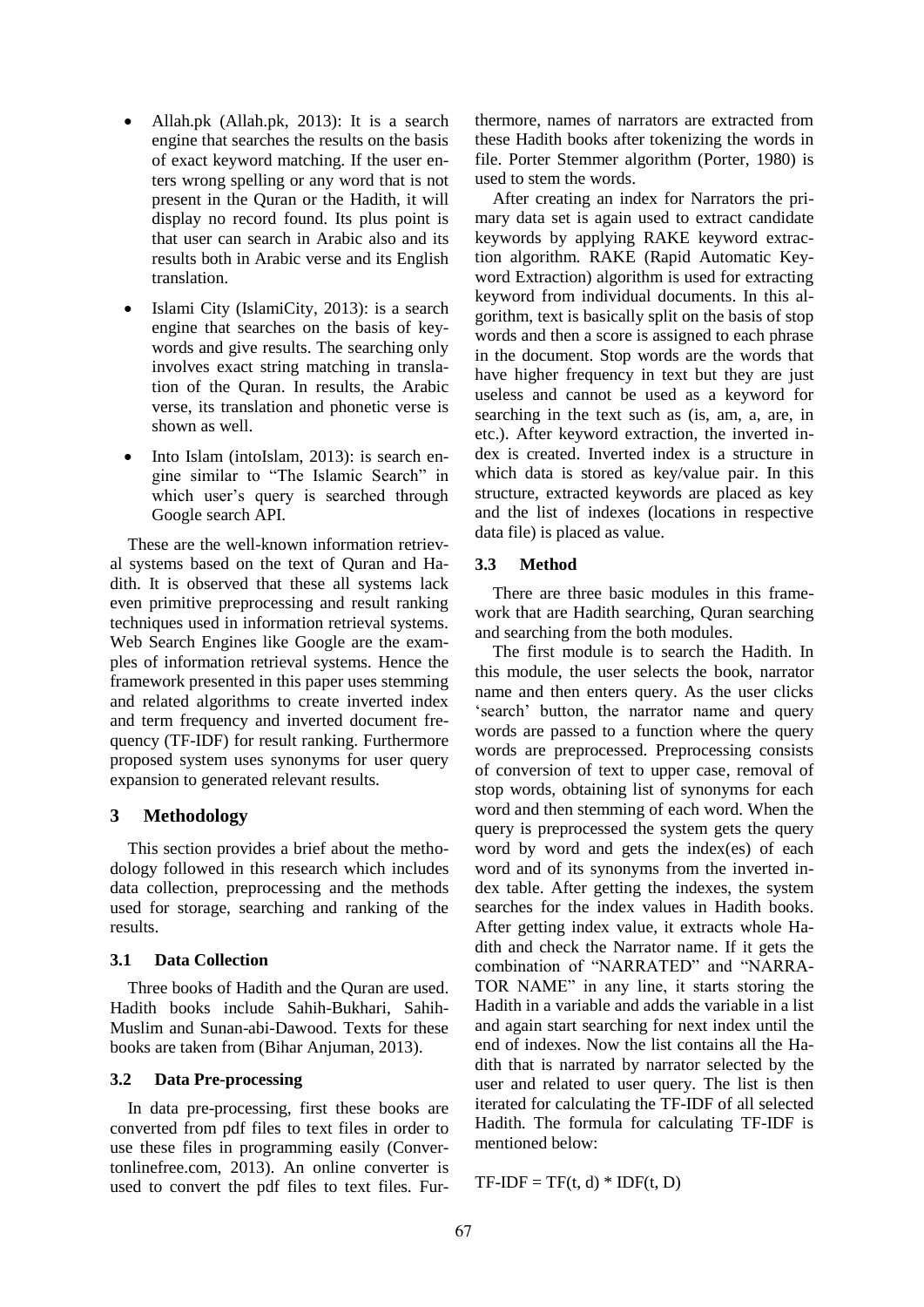- Allah.pk (Allah.pk, 2013): It is a search engine that searches the results on the basis of exact keyword matching. If the user enters wrong spelling or any word that is not present in the Quran or the Hadith, it will display no record found. Its plus point is that user can search in Arabic also and its results both in Arabic verse and its English translation.
- Islami City (IslamiCity, 2013): is a search engine that searches on the basis of keywords and give results. The searching only involves exact string matching in translation of the Quran. In results, the Arabic verse, its translation and phonetic verse is shown as well.
- Into Islam (intoIslam, 2013): is search engine similar to "The Islamic Search" in which user's query is searched through Google search API.

These are the well-known information retrieval systems based on the text of Quran and Hadith. It is observed that these all systems lack even primitive preprocessing and result ranking techniques used in information retrieval systems. Web Search Engines like Google are the examples of information retrieval systems. Hence the framework presented in this paper uses stemming and related algorithms to create inverted index and term frequency and inverted document frequency (TF-IDF) for result ranking. Furthermore proposed system uses synonyms for user query expansion to generated relevant results.

# **3 Methodology**

This section provides a brief about the methodology followed in this research which includes data collection, preprocessing and the methods used for storage, searching and ranking of the results.

# **3.1 Data Collection**

Three books of Hadith and the Quran are used. Hadith books include Sahih-Bukhari, Sahih-Muslim and Sunan-abi-Dawood. Texts for these books are taken from (Bihar Anjuman, 2013).

# **3.2 Data Pre-processing**

In data pre-processing, first these books are converted from pdf files to text files in order to use these files in programming easily (Convertonlinefree.com, 2013). An online converter is used to convert the pdf files to text files. Fur-

thermore, names of narrators are extracted from these Hadith books after tokenizing the words in file. Porter Stemmer algorithm (Porter, 1980) is used to stem the words.

After creating an index for Narrators the primary data set is again used to extract candidate keywords by applying RAKE keyword extraction algorithm. RAKE (Rapid Automatic Keyword Extraction) algorithm is used for extracting keyword from individual documents. In this algorithm, text is basically split on the basis of stop words and then a score is assigned to each phrase in the document. Stop words are the words that have higher frequency in text but they are just useless and cannot be used as a keyword for searching in the text such as (is, am, a, are, in etc.). After keyword extraction, the inverted index is created. Inverted index is a structure in which data is stored as key/value pair. In this structure, extracted keywords are placed as key and the list of indexes (locations in respective data file) is placed as value.

# **3.3 Method**

There are three basic modules in this framework that are Hadith searching, Quran searching and searching from the both modules.

The first module is to search the Hadith. In this module, the user selects the book, narrator name and then enters query. As the user clicks 'search' button, the narrator name and query words are passed to a function where the query words are preprocessed. Preprocessing consists of conversion of text to upper case, removal of stop words, obtaining list of synonyms for each word and then stemming of each word. When the query is preprocessed the system gets the query word by word and gets the index(es) of each word and of its synonyms from the inverted index table. After getting the indexes, the system searches for the index values in Hadith books. After getting index value, it extracts whole Hadith and check the Narrator name. If it gets the combination of "NARRATED" and "NARRA-TOR NAME" in any line, it starts storing the Hadith in a variable and adds the variable in a list and again start searching for next index until the end of indexes. Now the list contains all the Hadith that is narrated by narrator selected by the user and related to user query. The list is then iterated for calculating the TF-IDF of all selected Hadith. The formula for calculating TF-IDF is mentioned below:

 $TF-IDF = TF(t, d) * IDF(t, D)$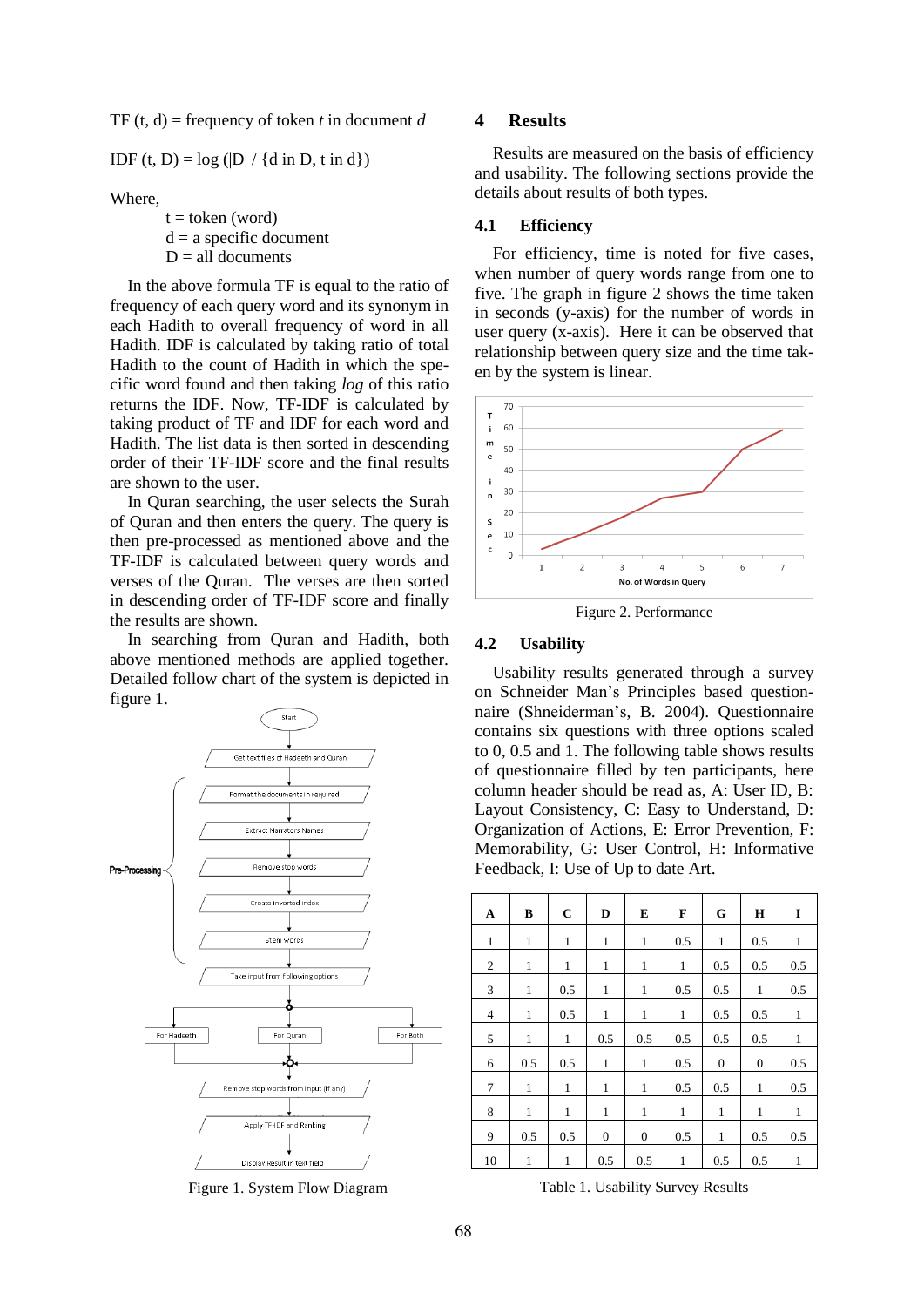TF  $(t, d)$  = frequency of token *t* in document *d* 

IDF (t, D) =  $log (|D| / {d in D, t in d})$ 

Where,

 $t =$  token (word)  $d = a$  specific document  $D = all$  documents

In the above formula TF is equal to the ratio of frequency of each query word and its synonym in each Hadith to overall frequency of word in all Hadith. IDF is calculated by taking ratio of total Hadith to the count of Hadith in which the specific word found and then taking *log* of this ratio returns the IDF. Now, TF-IDF is calculated by taking product of TF and IDF for each word and Hadith. The list data is then sorted in descending order of their TF-IDF score and the final results are shown to the user.

In Quran searching, the user selects the Surah of Quran and then enters the query. The query is then pre-processed as mentioned above and the TF-IDF is calculated between query words and verses of the Quran. The verses are then sorted in descending order of TF-IDF score and finally the results are shown.

In searching from Quran and Hadith, both above mentioned methods are applied together. Detailed follow chart of the system is depicted in figure 1.



Figure 1. System Flow Diagram

#### **4 Results**

Results are measured on the basis of efficiency and usability. The following sections provide the details about results of both types.

#### **4.1 Efficiency**

For efficiency, time is noted for five cases, when number of query words range from one to five. The graph in figure 2 shows the time taken in seconds (y-axis) for the number of words in user query  $(x-axis)$ . Here it can be observed that relationship between query size and the time taken by the system is linear.



Figure 2. Performance

### **4.2 Usability**

Usability results generated through a survey on Schneider Man"s Principles based questionnaire (Shneiderman"s, B. 2004). Questionnaire contains six questions with three options scaled to 0, 0.5 and 1. The following table shows results of questionnaire filled by ten participants, here column header should be read as, A: User ID, B: Layout Consistency, C: Easy to Understand, D: Organization of Actions, E: Error Prevention, F: Memorability, G: User Control, H: Informative Feedback, I: Use of Up to date Art.

| A              | B            | $\mathbf C$  | D              | E                | F            | G                | Н                | I            |
|----------------|--------------|--------------|----------------|------------------|--------------|------------------|------------------|--------------|
| $\mathbf{1}$   | $\mathbf{1}$ | $\mathbf{1}$ | $\mathbf{1}$   | $\mathbf{1}$     | 0.5          | $\mathbf{1}$     | 0.5              | $\mathbf{1}$ |
| $\overline{2}$ | $\mathbf{1}$ | 1            | 1              | 1                | $\mathbf{1}$ | 0.5              | 0.5              | 0.5          |
| 3              | $\mathbf{1}$ | 0.5          | $\mathbf{1}$   | 1                | 0.5          | 0.5              | $\mathbf{1}$     | 0.5          |
| 4              | $\mathbf{1}$ | 0.5          | $\mathbf{1}$   | 1                | $\mathbf{1}$ | 0.5              | 0.5              | $\mathbf{1}$ |
| 5              | $\mathbf{1}$ | $\mathbf{1}$ | 0.5            | 0.5              | 0.5          | 0.5              | 0.5              | $\mathbf{1}$ |
| 6              | 0.5          | 0.5          | 1              | 1                | 0.5          | $\boldsymbol{0}$ | $\boldsymbol{0}$ | 0.5          |
| $\tau$         | $\mathbf{1}$ | $\mathbf{1}$ | 1              | 1                | 0.5          | 0.5              | $\mathbf{1}$     | 0.5          |
| 8              | $\mathbf{1}$ | $\mathbf{1}$ | $\mathbf{1}$   | $\mathbf{1}$     | $\mathbf{1}$ | $\mathbf{1}$     | $\mathbf{1}$     | $\mathbf{1}$ |
| 9              | 0.5          | 0.5          | $\overline{0}$ | $\boldsymbol{0}$ | 0.5          | 1                | 0.5              | 0.5          |
| 10             | $\mathbf{1}$ | 1            | 0.5            | 0.5              | 1            | 0.5              | 0.5              | 1            |

Table 1. Usability Survey Results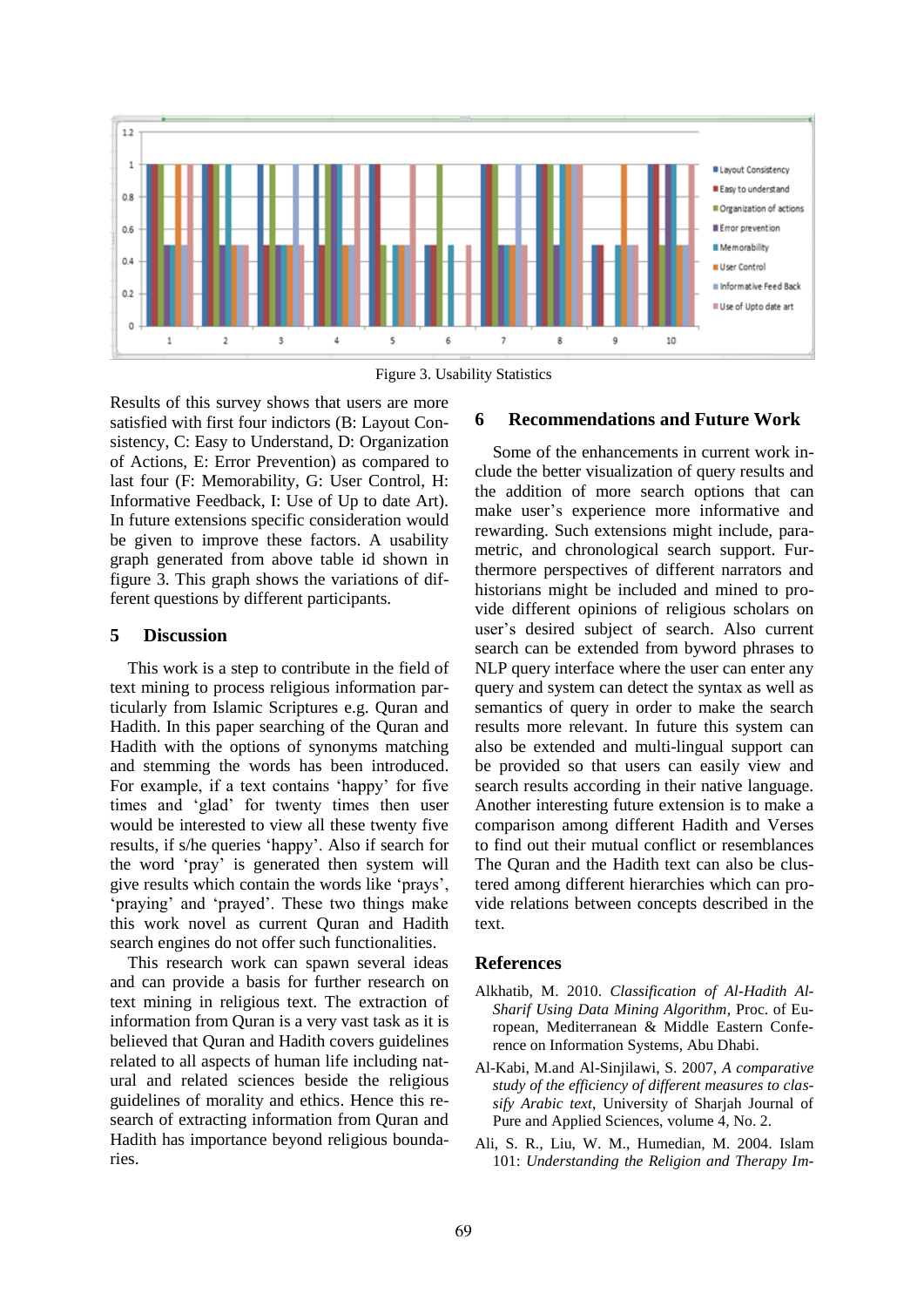

Figure 3. Usability Statistics

Results of this survey shows that users are more satisfied with first four indictors (B: Layout Consistency, C: Easy to Understand, D: Organization of Actions, E: Error Prevention) as compared to last four (F: Memorability, G: User Control, H: Informative Feedback, I: Use of Up to date Art). In future extensions specific consideration would be given to improve these factors. A usability graph generated from above table id shown in figure 3. This graph shows the variations of different questions by different participants.

# **5 Discussion**

This work is a step to contribute in the field of text mining to process religious information particularly from Islamic Scriptures e.g. Quran and Hadith. In this paper searching of the Quran and Hadith with the options of synonyms matching and stemming the words has been introduced. For example, if a text contains 'happy' for five times and "glad" for twenty times then user would be interested to view all these twenty five results, if s/he queries "happy". Also if search for the word "pray" is generated then system will give results which contain the words like "prays", 'praying' and 'prayed'. These two things make this work novel as current Quran and Hadith search engines do not offer such functionalities.

This research work can spawn several ideas and can provide a basis for further research on text mining in religious text. The extraction of information from Quran is a very vast task as it is believed that Quran and Hadith covers guidelines related to all aspects of human life including natural and related sciences beside the religious guidelines of morality and ethics. Hence this research of extracting information from Quran and Hadith has importance beyond religious boundaries.

# **6 Recommendations and Future Work**

Some of the enhancements in current work include the better visualization of query results and the addition of more search options that can make user"s experience more informative and rewarding. Such extensions might include, parametric, and chronological search support. Furthermore perspectives of different narrators and historians might be included and mined to provide different opinions of religious scholars on user"s desired subject of search. Also current search can be extended from byword phrases to NLP query interface where the user can enter any query and system can detect the syntax as well as semantics of query in order to make the search results more relevant. In future this system can also be extended and multi-lingual support can be provided so that users can easily view and search results according in their native language. Another interesting future extension is to make a comparison among different Hadith and Verses to find out their mutual conflict or resemblances The Quran and the Hadith text can also be clustered among different hierarchies which can provide relations between concepts described in the text.

# **References**

- Alkhatib, M. 2010. *Classification of Al-Hadith Al-Sharif Using Data Mining Algorithm*, Proc. of European, Mediterranean & Middle Eastern Conference on Information Systems, Abu Dhabi.
- Al-Kabi, M.and Al-Sinjilawi, S. 2007, *A comparative study of the efficiency of different measures to classify Arabic text*, University of Sharjah Journal of Pure and Applied Sciences, volume 4, No. 2.
- Ali, S. R., Liu, W. M., Humedian, M. 2004. Islam 101: *Understanding the Religion and Therapy Im-*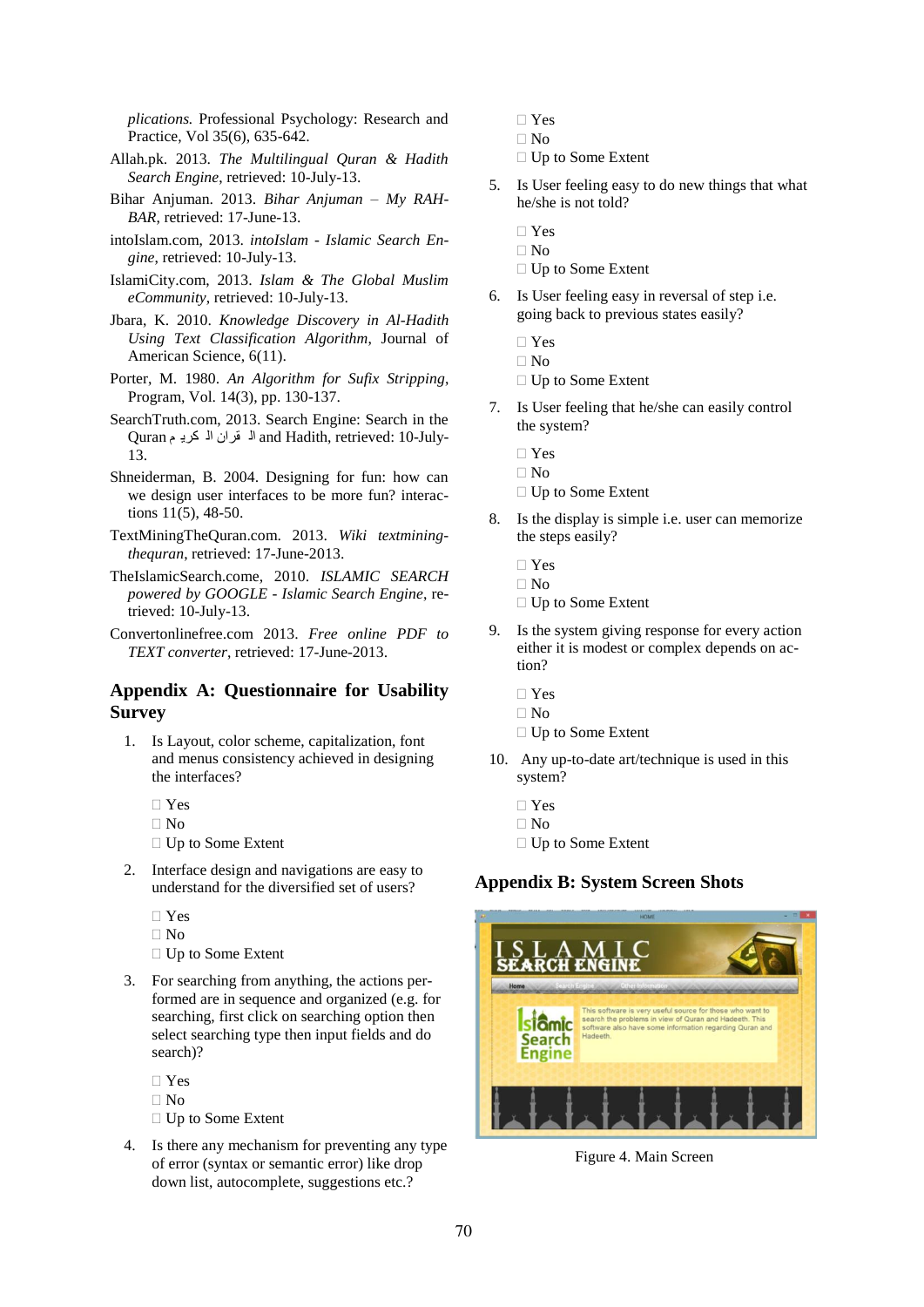*plications.* Professional Psychology: Research and Practice, Vol 35(6), 635-642.

- Allah.pk. 2013. *The Multilingual Quran & Hadith Search Engine*, retrieved: 10-July-13.
- Bihar Anjuman. 2013. *Bihar Anjuman – My RAH-BAR*, retrieved: 17-June-13.
- intoIslam.com, 2013. *intoIslam - Islamic Search Engine*, retrieved: 10-July-13.
- IslamiCity.com, 2013. *Islam & The Global Muslim eCommunity*, retrieved: 10-July-13.
- Jbara, K. 2010. *Knowledge Discovery in Al-Hadith Using Text Classification Algorithm*, Journal of American Science, 6(11).
- Porter, M. 1980. *An Algorithm for Sufix Stripping*, Program, Vol. 14(3), pp. 130-137.
- SearchTruth.com, 2013. Search Engine: Search in the Quran الـ قران الـ كريـ م Quran الـ قران الـ كريـ م Quran<br>13.
- Shneiderman, B. 2004. Designing for fun: how can we design user interfaces to be more fun? interactions 11(5), 48-50.
- TextMiningTheQuran.com. 2013. *Wiki textminingthequran*, retrieved: 17-June-2013.
- TheIslamicSearch.come, 2010. *ISLAMIC SEARCH powered by GOOGLE - Islamic Search Engine*, retrieved: 10-July-13.
- Convertonlinefree.com 2013. *Free online PDF to TEXT converter*, retrieved: 17-June-2013.

# **Appendix A: Questionnaire for Usability Survey**

- 1. Is Layout, color scheme, capitalization, font and menus consistency achieved in designing the interfaces?
	- Yes
	- No
	- □ Up to Some Extent
- 2. Interface design and navigations are easy to understand for the diversified set of users?
	- Yes
	- $\Box$  No
	- □ Up to Some Extent
- 3. For searching from anything, the actions performed are in sequence and organized (e.g. for searching, first click on searching option then select searching type then input fields and do search)?
	- $\Box$  Yes  $\Box$  No
	- □ Up to Some Extent
- 4. Is there any mechanism for preventing any type of error (syntax or semantic error) like drop down list, autocomplete, suggestions etc.?
- Yes
- $\Box$  No
- □ Up to Some Extent
- 5. Is User feeling easy to do new things that what he/she is not told?
	- Yes
	- $\Box$  No
	- $\Box$  Up to Some Extent
- 6. Is User feeling easy in reversal of step i.e. going back to previous states easily?
	- □ Yes
	- $\Box$  No
	- $\Box$  Up to Some Extent
- 7. Is User feeling that he/she can easily control the system?
	- □ Yes
	- $\Box$  No
	- $\Box$  Up to Some Extent
- 8. Is the display is simple i.e. user can memorize the steps easily?
	- Yes
	- $\Box$  No
	- □ Up to Some Extent
- 9. Is the system giving response for every action either it is modest or complex depends on action?
	- Yes
	- $\Box$  No
	- □ Up to Some Extent
- 10. Any up-to-date art/technique is used in this system?
	- □ Yes
	- No
	- □ Up to Some Extent

# **Appendix B: System Screen Shots**



Figure 4. Main Screen